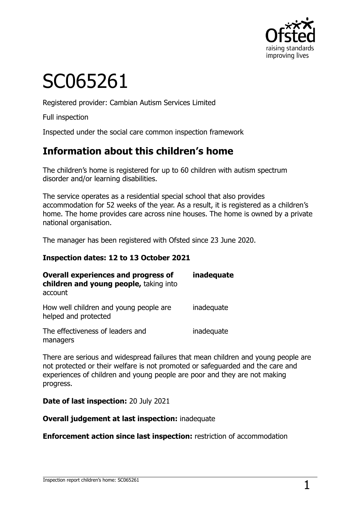

# SC065261

Registered provider: Cambian Autism Services Limited

Full inspection

Inspected under the social care common inspection framework

# **Information about this children's home**

The children's home is registered for up to 60 children with autism spectrum disorder and/or learning disabilities.

The service operates as a residential special school that also provides accommodation for 52 weeks of the year. As a result, it is registered as a children's home. The home provides care across nine houses. The home is owned by a private national organisation.

The manager has been registered with Ofsted since 23 June 2020.

#### **Inspection dates: 12 to 13 October 2021**

| <b>Overall experiences and progress of</b><br>children and young people, taking into<br>account | inadequate |
|-------------------------------------------------------------------------------------------------|------------|
| How well children and young people are<br>helped and protected                                  | inadequate |
| The effectiveness of leaders and<br>managers                                                    | inadequate |

There are serious and widespread failures that mean children and young people are not protected or their welfare is not promoted or safeguarded and the care and experiences of children and young people are poor and they are not making progress.

**Date of last inspection:** 20 July 2021

**Overall judgement at last inspection:** inadequate

**Enforcement action since last inspection:** restriction of accommodation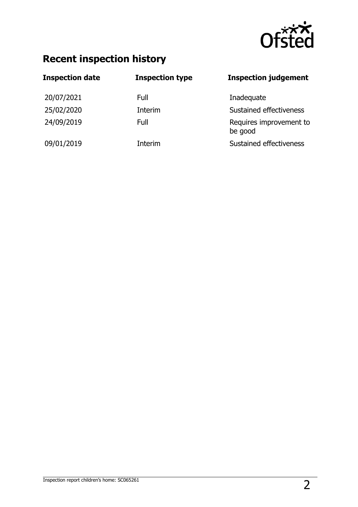

# **Recent inspection history**

| <b>Inspection date</b> | <b>Inspection type</b> | <b>Inspection judgement</b>        |
|------------------------|------------------------|------------------------------------|
| 20/07/2021             | Full                   | Inadequate                         |
| 25/02/2020             | Interim                | Sustained effectiveness            |
| 24/09/2019             | Full                   | Requires improvement to<br>be good |
| 09/01/2019             | Interim                | Sustained effectiveness            |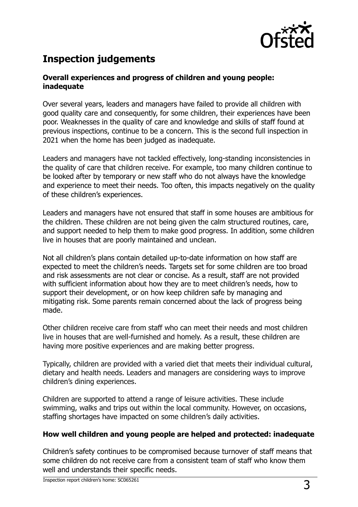

# **Inspection judgements**

#### **Overall experiences and progress of children and young people: inadequate**

Over several years, leaders and managers have failed to provide all children with good quality care and consequently, for some children, their experiences have been poor. Weaknesses in the quality of care and knowledge and skills of staff found at previous inspections, continue to be a concern. This is the second full inspection in 2021 when the home has been judged as inadequate.

Leaders and managers have not tackled effectively, long-standing inconsistencies in the quality of care that children receive. For example, too many children continue to be looked after by temporary or new staff who do not always have the knowledge and experience to meet their needs. Too often, this impacts negatively on the quality of these children's experiences.

Leaders and managers have not ensured that staff in some houses are ambitious for the children. These children are not being given the calm structured routines, care, and support needed to help them to make good progress. In addition, some children live in houses that are poorly maintained and unclean.

Not all children's plans contain detailed up-to-date information on how staff are expected to meet the children's needs. Targets set for some children are too broad and risk assessments are not clear or concise. As a result, staff are not provided with sufficient information about how they are to meet children's needs, how to support their development, or on how keep children safe by managing and mitigating risk. Some parents remain concerned about the lack of progress being made.

Other children receive care from staff who can meet their needs and most children live in houses that are well-furnished and homely. As a result, these children are having more positive experiences and are making better progress.

Typically, children are provided with a varied diet that meets their individual cultural, dietary and health needs. Leaders and managers are considering ways to improve children's dining experiences.

Children are supported to attend a range of leisure activities. These include swimming, walks and trips out within the local community. However, on occasions, staffing shortages have impacted on some children's daily activities.

#### **How well children and young people are helped and protected: inadequate**

Children's safety continues to be compromised because turnover of staff means that some children do not receive care from a consistent team of staff who know them well and understands their specific needs.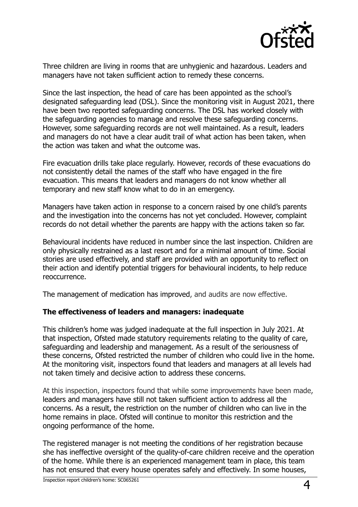

Three children are living in rooms that are unhygienic and hazardous. Leaders and managers have not taken sufficient action to remedy these concerns.

Since the last inspection, the head of care has been appointed as the school's designated safeguarding lead (DSL). Since the monitoring visit in August 2021, there have been two reported safeguarding concerns. The DSL has worked closely with the safeguarding agencies to manage and resolve these safeguarding concerns. However, some safeguarding records are not well maintained. As a result, leaders and managers do not have a clear audit trail of what action has been taken, when the action was taken and what the outcome was.

Fire evacuation drills take place regularly. However, records of these evacuations do not consistently detail the names of the staff who have engaged in the fire evacuation. This means that leaders and managers do not know whether all temporary and new staff know what to do in an emergency.

Managers have taken action in response to a concern raised by one child's parents and the investigation into the concerns has not yet concluded. However, complaint records do not detail whether the parents are happy with the actions taken so far.

Behavioural incidents have reduced in number since the last inspection. Children are only physically restrained as a last resort and for a minimal amount of time. Social stories are used effectively, and staff are provided with an opportunity to reflect on their action and identify potential triggers for behavioural incidents, to help reduce reoccurrence.

The management of medication has improved, and audits are now effective.

#### **The effectiveness of leaders and managers: inadequate**

This children's home was judged inadequate at the full inspection in July 2021. At that inspection, Ofsted made statutory requirements relating to the quality of care, safeguarding and leadership and management. As a result of the seriousness of these concerns, Ofsted restricted the number of children who could live in the home. At the monitoring visit, inspectors found that leaders and managers at all levels had not taken timely and decisive action to address these concerns.

At this inspection, inspectors found that while some improvements have been made, leaders and managers have still not taken sufficient action to address all the concerns. As a result, the restriction on the number of children who can live in the home remains in place. Ofsted will continue to monitor this restriction and the ongoing performance of the home.

The registered manager is not meeting the conditions of her registration because she has ineffective oversight of the quality-of-care children receive and the operation of the home. While there is an experienced management team in place, this team has not ensured that every house operates safely and effectively. In some houses,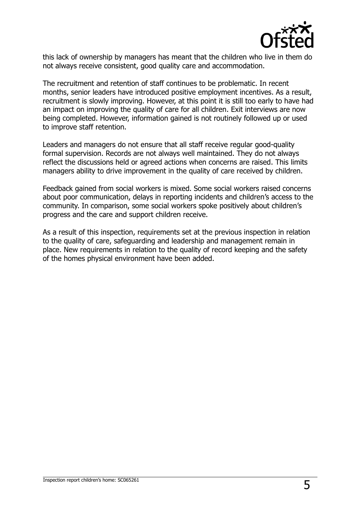

this lack of ownership by managers has meant that the children who live in them do not always receive consistent, good quality care and accommodation.

The recruitment and retention of staff continues to be problematic. In recent months, senior leaders have introduced positive employment incentives. As a result, recruitment is slowly improving. However, at this point it is still too early to have had an impact on improving the quality of care for all children. Exit interviews are now being completed. However, information gained is not routinely followed up or used to improve staff retention.

Leaders and managers do not ensure that all staff receive regular good-quality formal supervision. Records are not always well maintained. They do not always reflect the discussions held or agreed actions when concerns are raised. This limits managers ability to drive improvement in the quality of care received by children.

Feedback gained from social workers is mixed. Some social workers raised concerns about poor communication, delays in reporting incidents and children's access to the community. In comparison, some social workers spoke positively about children's progress and the care and support children receive.

As a result of this inspection, requirements set at the previous inspection in relation to the quality of care, safeguarding and leadership and management remain in place. New requirements in relation to the quality of record keeping and the safety of the homes physical environment have been added.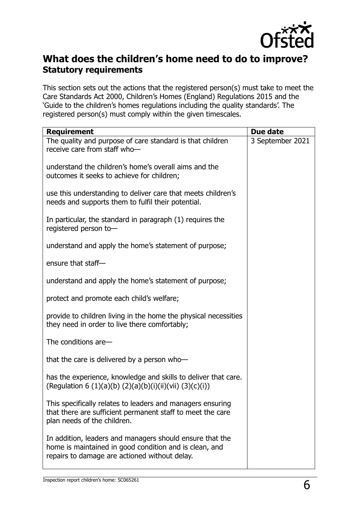

### **What does the children's home need to do to improve? Statutory requirements**

This section sets out the actions that the registered person(s) must take to meet the Care Standards Act 2000, Children's Homes (England) Regulations 2015 and the 'Guide to the children's homes regulations including the quality standards'. The registered person(s) must comply within the given timescales.

| <b>Requirement</b>                                                                                                                                                  | Due date         |
|---------------------------------------------------------------------------------------------------------------------------------------------------------------------|------------------|
| The quality and purpose of care standard is that children<br>receive care from staff who-                                                                           | 3 September 2021 |
| understand the children's home's overall aims and the<br>outcomes it seeks to achieve for children;                                                                 |                  |
| use this understanding to deliver care that meets children's<br>needs and supports them to fulfil their potential.                                                  |                  |
| In particular, the standard in paragraph (1) requires the<br>registered person to-                                                                                  |                  |
| understand and apply the home's statement of purpose;                                                                                                               |                  |
| ensure that staff-                                                                                                                                                  |                  |
| understand and apply the home's statement of purpose;                                                                                                               |                  |
| protect and promote each child's welfare;                                                                                                                           |                  |
| provide to children living in the home the physical necessities<br>they need in order to live there comfortably;                                                    |                  |
| The conditions are-                                                                                                                                                 |                  |
| that the care is delivered by a person who-                                                                                                                         |                  |
| has the experience, knowledge and skills to deliver that care.<br>(Regulation 6 (1)(a)(b) (2)(a)(b)(i)(ii)(vii) (3)(c)(i))                                          |                  |
| This specifically relates to leaders and managers ensuring<br>that there are sufficient permanent staff to meet the care<br>plan needs of the children.             |                  |
| In addition, leaders and managers should ensure that the<br>home is maintained in good condition and is clean, and<br>repairs to damage are actioned without delay. |                  |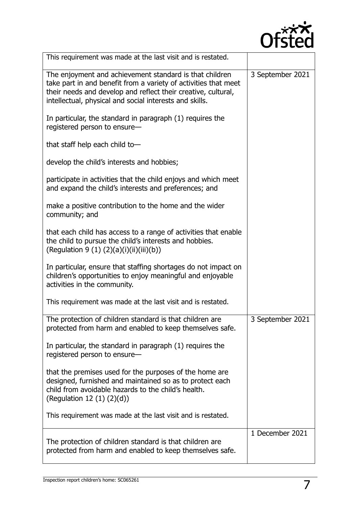

| This requirement was made at the last visit and is restated.                                                                                                                                                                                           |                  |
|--------------------------------------------------------------------------------------------------------------------------------------------------------------------------------------------------------------------------------------------------------|------------------|
| The enjoyment and achievement standard is that children<br>take part in and benefit from a variety of activities that meet<br>their needs and develop and reflect their creative, cultural,<br>intellectual, physical and social interests and skills. | 3 September 2021 |
| In particular, the standard in paragraph (1) requires the<br>registered person to ensure-                                                                                                                                                              |                  |
| that staff help each child to-                                                                                                                                                                                                                         |                  |
| develop the child's interests and hobbies;                                                                                                                                                                                                             |                  |
| participate in activities that the child enjoys and which meet<br>and expand the child's interests and preferences; and                                                                                                                                |                  |
| make a positive contribution to the home and the wider<br>community; and                                                                                                                                                                               |                  |
| that each child has access to a range of activities that enable<br>the child to pursue the child's interests and hobbies.<br>(Regulation 9 (1) $(2)(a)(i)(ii)(iii)(b))$                                                                                |                  |
| In particular, ensure that staffing shortages do not impact on<br>children's opportunities to enjoy meaningful and enjoyable<br>activities in the community.                                                                                           |                  |
| This requirement was made at the last visit and is restated.                                                                                                                                                                                           |                  |
| The protection of children standard is that children are<br>protected from harm and enabled to keep themselves safe.                                                                                                                                   | 3 September 2021 |
| In particular, the standard in paragraph (1) requires the<br>registered person to ensure-                                                                                                                                                              |                  |
| that the premises used for the purposes of the home are<br>designed, furnished and maintained so as to protect each<br>child from avoidable hazards to the child's health.<br>(Regulation 12 $(1)$ $(2)(d)$ )                                          |                  |
| This requirement was made at the last visit and is restated.                                                                                                                                                                                           |                  |
| The protection of children standard is that children are<br>protected from harm and enabled to keep themselves safe.                                                                                                                                   | 1 December 2021  |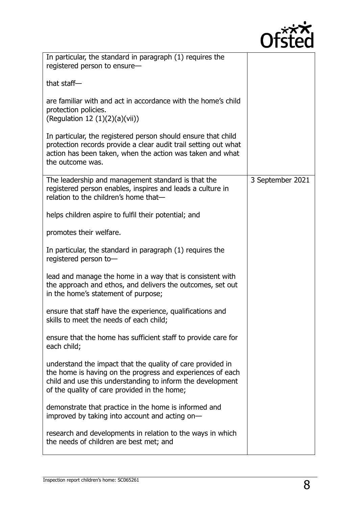

| In particular, the standard in paragraph (1) requires the<br>registered person to ensure-                                                                                                                                              |                  |
|----------------------------------------------------------------------------------------------------------------------------------------------------------------------------------------------------------------------------------------|------------------|
| that staff $-$                                                                                                                                                                                                                         |                  |
| are familiar with and act in accordance with the home's child<br>protection policies.<br>(Regulation 12 $(1)(2)(a)(vi)$ )                                                                                                              |                  |
| In particular, the registered person should ensure that child<br>protection records provide a clear audit trail setting out what<br>action has been taken, when the action was taken and what<br>the outcome was.                      |                  |
| The leadership and management standard is that the<br>registered person enables, inspires and leads a culture in<br>relation to the children's home that-                                                                              | 3 September 2021 |
| helps children aspire to fulfil their potential; and                                                                                                                                                                                   |                  |
| promotes their welfare.                                                                                                                                                                                                                |                  |
| In particular, the standard in paragraph (1) requires the<br>registered person to-                                                                                                                                                     |                  |
| lead and manage the home in a way that is consistent with<br>the approach and ethos, and delivers the outcomes, set out<br>in the home's statement of purpose;                                                                         |                  |
| ensure that staff have the experience, qualifications and<br>skills to meet the needs of each child;                                                                                                                                   |                  |
| ensure that the home has sufficient staff to provide care for<br>each child;                                                                                                                                                           |                  |
| understand the impact that the quality of care provided in<br>the home is having on the progress and experiences of each<br>child and use this understanding to inform the development<br>of the quality of care provided in the home; |                  |
| demonstrate that practice in the home is informed and<br>improved by taking into account and acting on-                                                                                                                                |                  |
| research and developments in relation to the ways in which<br>the needs of children are best met; and                                                                                                                                  |                  |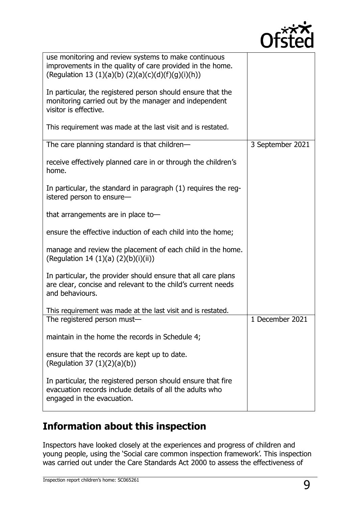

| use monitoring and review systems to make continuous<br>improvements in the quality of care provided in the home.<br>(Regulation 13 (1)(a)(b) (2)(a)(c)(d)(f)(g)(i)(h)) |                  |
|-------------------------------------------------------------------------------------------------------------------------------------------------------------------------|------------------|
| In particular, the registered person should ensure that the<br>monitoring carried out by the manager and independent<br>visitor is effective.                           |                  |
| This requirement was made at the last visit and is restated.                                                                                                            |                  |
| The care planning standard is that children-                                                                                                                            | 3 September 2021 |
| receive effectively planned care in or through the children's<br>home.                                                                                                  |                  |
| In particular, the standard in paragraph (1) requires the reg-<br>istered person to ensure-                                                                             |                  |
| that arrangements are in place to-                                                                                                                                      |                  |
| ensure the effective induction of each child into the home;                                                                                                             |                  |
| manage and review the placement of each child in the home.<br>(Regulation 14 $(1)(a)$ $(2)(b)(i)(ii)$ )                                                                 |                  |
| In particular, the provider should ensure that all care plans<br>are clear, concise and relevant to the child's current needs<br>and behaviours.                        |                  |
| This requirement was made at the last visit and is restated.                                                                                                            |                  |
| The registered person must-                                                                                                                                             | 1 December 2021  |
| maintain in the home the records in Schedule 4;                                                                                                                         |                  |
| ensure that the records are kept up to date.<br>(Regulation 37 $(1)(2)(a)(b)$ )                                                                                         |                  |
| In particular, the registered person should ensure that fire<br>evacuation records include details of all the adults who<br>engaged in the evacuation.                  |                  |

# **Information about this inspection**

Inspectors have looked closely at the experiences and progress of children and young people, using the 'Social care common inspection framework'. This inspection was carried out under the Care Standards Act 2000 to assess the effectiveness of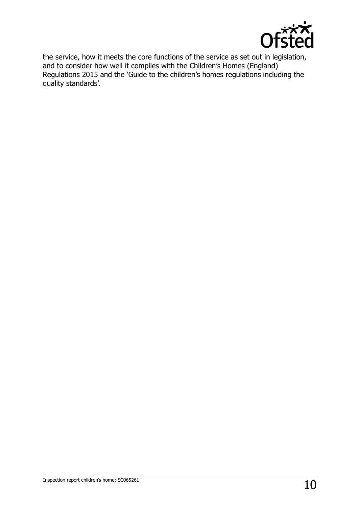

the service, how it meets the core functions of the service as set out in legislation, and to consider how well it complies with the Children's Homes (England) Regulations 2015 and the 'Guide to the children's homes regulations including the quality standards'.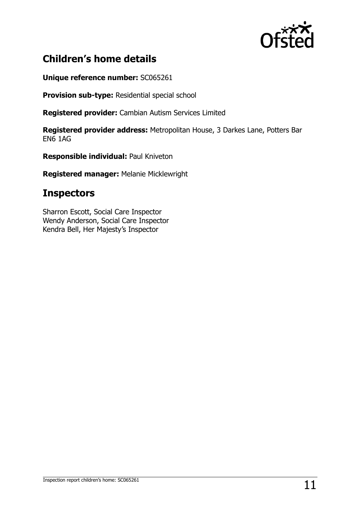

# **Children's home details**

**Unique reference number:** SC065261

**Provision sub-type:** Residential special school

**Registered provider:** Cambian Autism Services Limited

**Registered provider address:** Metropolitan House, 3 Darkes Lane, Potters Bar EN6 1AG

**Responsible individual:** Paul Kniveton

**Registered manager:** Melanie Micklewright

## **Inspectors**

Sharron Escott, Social Care Inspector Wendy Anderson, Social Care Inspector Kendra Bell, Her Majesty's Inspector